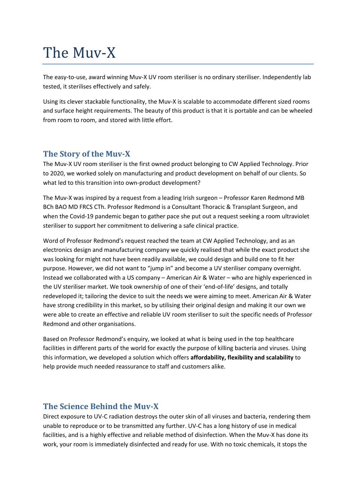# The Muv-X

The easy-to-use, award winning Muv-X UV room steriliser is no ordinary steriliser. Independently lab tested, it sterilises effectively and safely.

Using its clever stackable functionality, the Muv-X is scalable to accommodate different sized rooms and surface height requirements. The beauty of this product is that it is portable and can be wheeled from room to room, and stored with little effort.

#### **The Story of the Muv-X**

The Muv-X UV room steriliser is the first owned product belonging to CW Applied Technology. Prior to 2020, we worked solely on manufacturing and product development on behalf of our clients. So what led to this transition into own-product development?

The Muv-X was inspired by a request from a leading Irish surgeon – Professor Karen Redmond MB BCh BAO MD FRCS CTh. Professor Redmond is a Consultant Thoracic & Transplant Surgeon, and when the Covid-19 pandemic began to gather pace she put out a request seeking a room ultraviolet steriliser to support her commitment to delivering a safe clinical practice.

Word of Professor Redmond's request reached the team at CW Applied Technology, and as an electronics design and manufacturing company we quickly realised that while the exact product she was looking for might not have been readily available, we could design and build one to fit her purpose. However, we did not want to "jump in" and become a UV steriliser company overnight. Instead we collaborated with a US company – American Air & Water – who are highly experienced in the UV steriliser market. We took ownership of one of their 'end-of-life' designs, and totally redeveloped it; tailoring the device to suit the needs we were aiming to meet. American Air & Water have strong credibility in this market, so by utilising their original design and making it our own we were able to create an effective and reliable UV room steriliser to suit the specific needs of Professor Redmond and other organisations.

Based on Professor Redmond's enquiry, we looked at what is being used in the top healthcare facilities in different parts of the world for exactly the purpose of killing bacteria and viruses. Using this information, we developed a solution which offers **affordability, flexibility and scalability** to help provide much needed reassurance to staff and customers alike.

## **The Science Behind the Muv-X**

Direct exposure to UV-C radiation destroys the outer skin of all viruses and bacteria, rendering them unable to reproduce or to be transmitted any further. UV-C has a long history of use in medical facilities, and is a highly effective and reliable method of disinfection. When the Muv-X has done its work, your room is immediately disinfected and ready for use. With no toxic chemicals, it stops the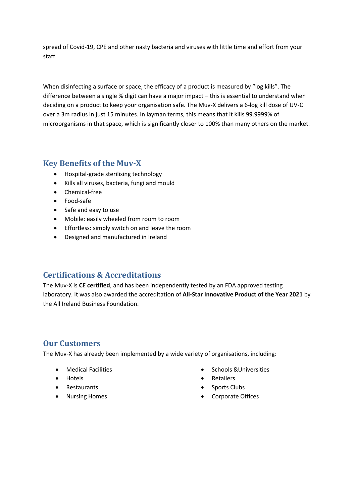spread of Covid-19, CPE and other nasty bacteria and viruses with little time and effort from your staff.

When disinfecting a surface or space, the efficacy of a product is measured by "log kills". The difference between a single % digit can have a major impact – this is essential to understand when deciding on a product to keep your organisation safe. The Muv-X delivers a 6-log kill dose of UV-C over a 3m radius in just 15 minutes. In layman terms, this means that it kills 99.9999% of microorganisms in that space, which is significantly closer to 100% than many others on the market.

## **Key Benefits of the Muv-X**

- Hospital-grade sterilising technology
- Kills all viruses, bacteria, fungi and mould
- Chemical-free
- Food-safe
- Safe and easy to use
- Mobile: easily wheeled from room to room
- **Effortless: simply switch on and leave the room**
- Designed and manufactured in Ireland

## **Certifications & Accreditations**

The Muv-X is **CE certified**, and has been independently tested by an FDA approved testing laboratory. It was also awarded the accreditation of **All-Star Innovative Product of the Year 2021** by the All Ireland Business Foundation.

#### **Our Customers**

The Muv-X has already been implemented by a wide variety of organisations, including:

- Medical Facilities
- Hotels
- Restaurants
- Nursing Homes
- **•** Schools & Universities
- Retailers
- Sports Clubs
- Corporate Offices